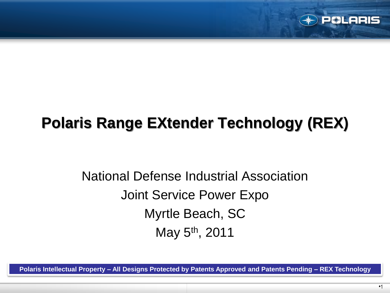

# **Polaris Range EXtender Technology (REX)**

National Defense Industrial Association Joint Service Power Expo Myrtle Beach, SC May 5th, 2011

**Polaris Intellectual Property – All Designs Protected by Patents Approved and Patents Pending – REX Technology**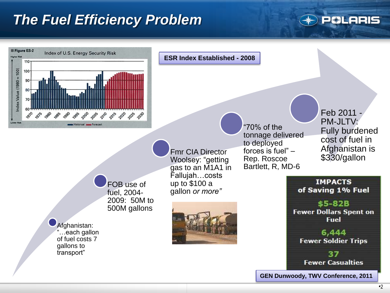#### *The Fuel Efficiency Problem*



PCLARIS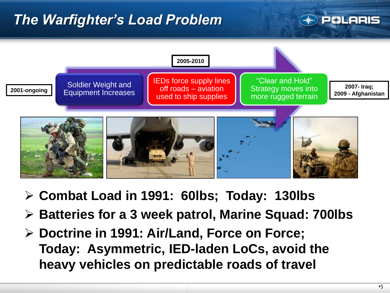## *The Warfighter's Load Problem*

#### **BLARIS**



- **Combat Load in 1991: 60lbs; Today: 130lbs**
- **Batteries for a 3 week patrol, Marine Squad: 700lbs**
- **Doctrine in 1991: Air/Land, Force on Force; Today: Asymmetric, IED-laden LoCs, avoid the heavy vehicles on predictable roads of travel**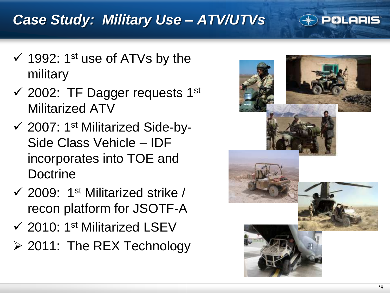## *Case Study: Military Use – ATV/UTVs*



- $\checkmark$  1992: 1<sup>st</sup> use of ATVs by the military
- $\checkmark$  2002: TF Dagger requests 1st Militarized ATV
- $\checkmark$  2007: 1<sup>st</sup> Militarized Side-by-Side Class Vehicle – IDF incorporates into TOE and **Doctrine**
- $\checkmark$  2009: 1<sup>st</sup> Militarized strike / recon platform for JSOTF-A
- 2010: 1st Militarized LSEV
- ▶ 2011: The REX Technology

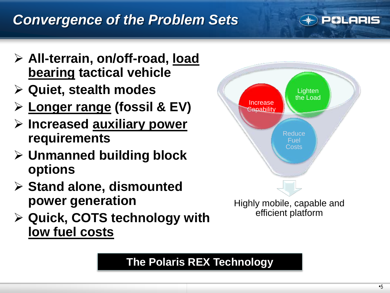#### *Convergence of the Problem Sets*



- **All-terrain, on/off-road, load bearing tactical vehicle**
- **Quiet, stealth modes**
- **Longer range (fossil & EV)**
- **Increased auxiliary power requirements**
- **Unmanned building block options**
- **Stand alone, dismounted power generation**
- **Quick, COTS technology with low fuel costs**



#### **The Polaris REX Technology**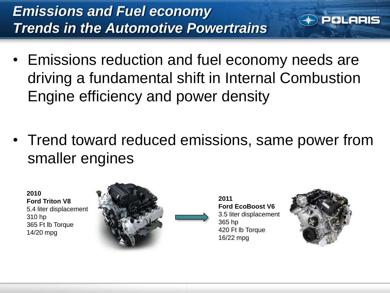- Emissions reduction and fuel economy needs are driving a fundamental shift in Internal Combustion Engine efficiency and power density
- Trend toward reduced emissions, same power from smaller engines

**2010 Ford Triton V8** 5.4 liter displacement 310 hp 365 Ft lb Torque 14/20 mpg



**2011 Ford EcoBoost V6** 3.5 liter displacement 365 hp 420 Ft lb Torque 16/22 mpg



**BLARIS**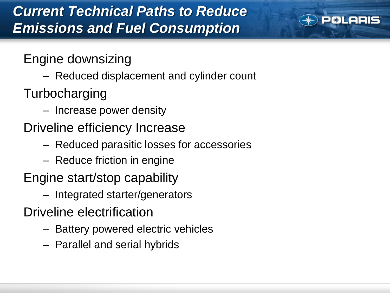## *Current Technical Paths to Reduce Emissions and Fuel Consumption*



Engine downsizing

- Reduced displacement and cylinder count
- Turbocharging
	- Increase power density
- Driveline efficiency Increase
	- Reduced parasitic losses for accessories
	- Reduce friction in engine
- Engine start/stop capability
	- Integrated starter/generators
- Driveline electrification
	- Battery powered electric vehicles
	- Parallel and serial hybrids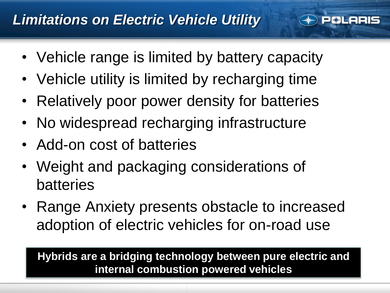

- Vehicle range is limited by battery capacity
- Vehicle utility is limited by recharging time
- Relatively poor power density for batteries
- No widespread recharging infrastructure
- Add-on cost of batteries
- Weight and packaging considerations of batteries
- Range Anxiety presents obstacle to increased adoption of electric vehicles for on-road use

**Hybrids are a bridging technology between pure electric and internal combustion powered vehicles**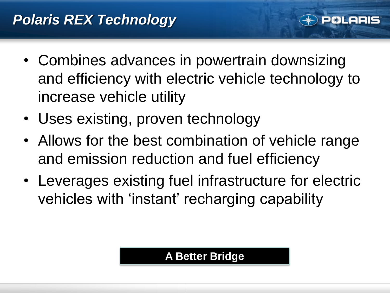- Combines advances in powertrain downsizing and efficiency with electric vehicle technology to increase vehicle utility
- Uses existing, proven technology
- Allows for the best combination of vehicle range and emission reduction and fuel efficiency
- Leverages existing fuel infrastructure for electric vehicles with 'instant' recharging capability

#### **A Better Bridge**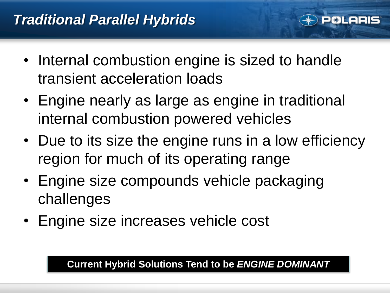

- Internal combustion engine is sized to handle transient acceleration loads
- Engine nearly as large as engine in traditional internal combustion powered vehicles
- Due to its size the engine runs in a low efficiency region for much of its operating range
- Engine size compounds vehicle packaging challenges
- Engine size increases vehicle cost

**Current Hybrid Solutions Tend to be** *ENGINE DOMINANT*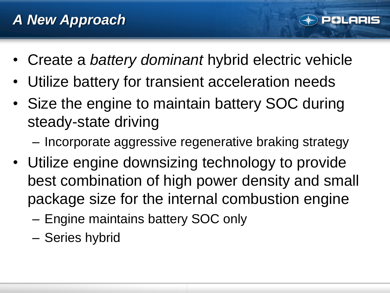• Create a *battery dominant* hybrid electric vehicle

**81 ARIS** 

- Utilize battery for transient acceleration needs
- Size the engine to maintain battery SOC during steady-state driving
	- Incorporate aggressive regenerative braking strategy
- Utilize engine downsizing technology to provide best combination of high power density and small package size for the internal combustion engine
	- Engine maintains battery SOC only
	- Series hybrid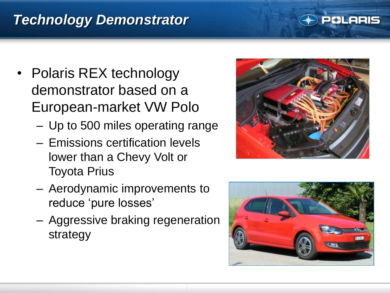## *Technology Demonstrator*

#### • Polaris REX technology demonstrator based on a European-market VW Polo

- Up to 500 miles operating range
- Emissions certification levels lower than a Chevy Volt or Toyota Prius
- Aerodynamic improvements to reduce 'pure losses'
- Aggressive braking regeneration strategy



**BLARIS** 

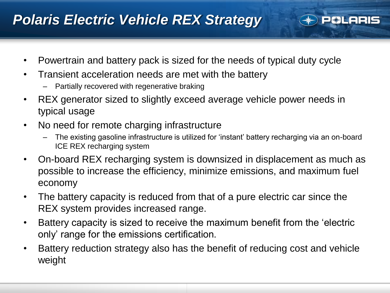#### *Polaris Electric Vehicle REX Strategy*

- Powertrain and battery pack is sized for the needs of typical duty cycle
- Transient acceleration needs are met with the battery
	- Partially recovered with regenerative braking
- REX generator sized to slightly exceed average vehicle power needs in typical usage
- No need for remote charging infrastructure
	- The existing gasoline infrastructure is utilized for "instant" battery recharging via an on-board ICE REX recharging system

**&LARIS** 

- On-board REX recharging system is downsized in displacement as much as possible to increase the efficiency, minimize emissions, and maximum fuel economy
- The battery capacity is reduced from that of a pure electric car since the REX system provides increased range.
- Battery capacity is sized to receive the maximum benefit from the "electric only" range for the emissions certification.
- Battery reduction strategy also has the benefit of reducing cost and vehicle weight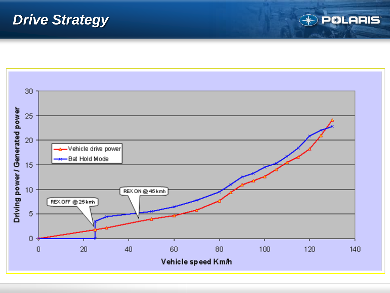#### *Drive Strategy*



**POLARIS**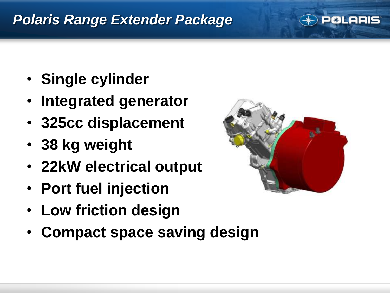#### *Polaris Range Extender Package*



- **Single cylinder**
- **Integrated generator**
- **325cc displacement**
- **38 kg weight**
- **22kW electrical output**
- **Port fuel injection**
- **Low friction design**
- **Compact space saving design**

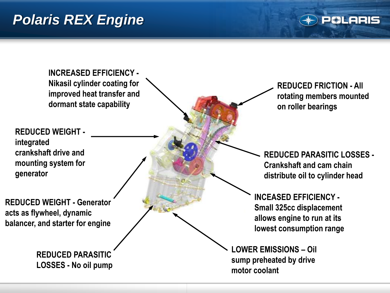#### *Polaris REX Engine*

**CLARIS** 

**INCREASED EFFICIENCY - Nikasil cylinder coating for improved heat transfer and dormant state capability**

**REDUCED WEIGHT integrated crankshaft drive and mounting system for generator**

**REDUCED WEIGHT - Generator acts as flywheel, dynamic balancer, and starter for engine**

> **REDUCED PARASITIC LOSSES - No oil pump**

**REDUCED FRICTION - All rotating members mounted on roller bearings**

**REDUCED PARASITIC LOSSES - Crankshaft and cam chain distribute oil to cylinder head**

**INCEASED EFFICIENCY - Small 325cc displacement allows engine to run at its lowest consumption range**

**LOWER EMISSIONS – Oil sump preheated by drive motor coolant**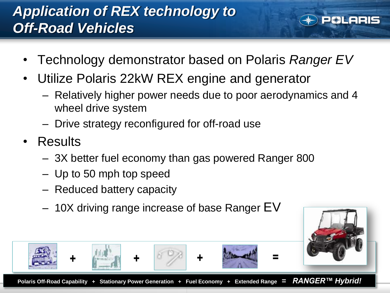## *Application of REX technology to Off-Road Vehicles*



- Technology demonstrator based on Polaris *Ranger EV*
- Utilize Polaris 22kW REX engine and generator
	- Relatively higher power needs due to poor aerodynamics and 4 wheel drive system
	- Drive strategy reconfigured for off-road use
- Results
	- 3X better fuel economy than gas powered Ranger 800
	- Up to 50 mph top speed
	- Reduced battery capacity
	- 10X driving range increase of base Ranger EV



**+ + + =**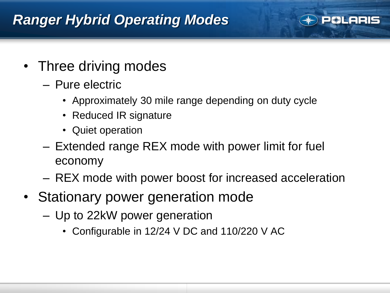#### *Ranger Hybrid Operating Modes*



- Three driving modes
	- Pure electric
		- Approximately 30 mile range depending on duty cycle
		- Reduced IR signature
		- Quiet operation
	- Extended range REX mode with power limit for fuel economy
	- REX mode with power boost for increased acceleration
- Stationary power generation mode
	- Up to 22kW power generation
		- Configurable in 12/24 V DC and 110/220 V AC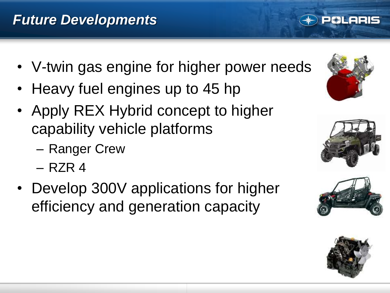- V-twin gas engine for higher power needs
- Heavy fuel engines up to 45 hp
- Apply REX Hybrid concept to higher capability vehicle platforms
	- Ranger Crew
	- RZR 4
- Develop 300V applications for higher efficiency and generation capacity



**81 ARIS** 





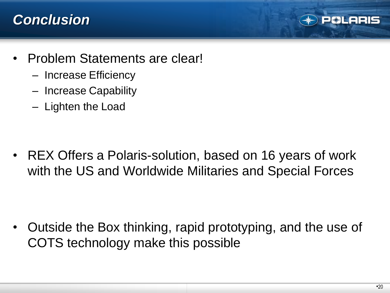#### *Conclusion*



- Problem Statements are clear!
	- Increase Efficiency
	- Increase Capability
	- Lighten the Load

• REX Offers a Polaris-solution, based on 16 years of work with the US and Worldwide Militaries and Special Forces

• Outside the Box thinking, rapid prototyping, and the use of COTS technology make this possible